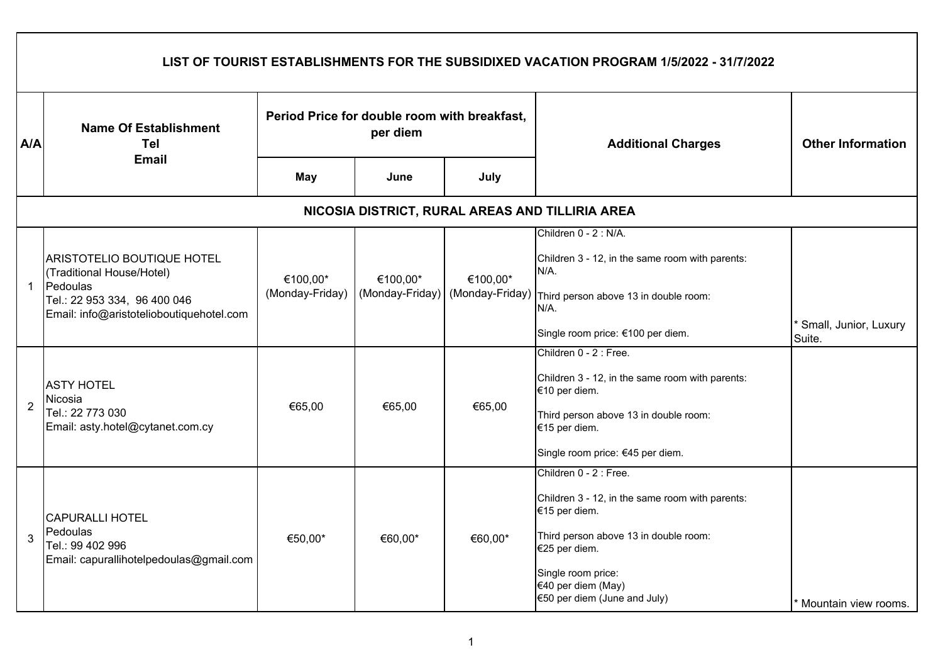|                | LIST OF TOURIST ESTABLISHMENTS FOR THE SUBSIDIXED VACATION PROGRAM 1/5/2022 - 31/7/2022                                                                |                                                          |          |                                             |                                                                          |                                   |  |  |  |  |
|----------------|--------------------------------------------------------------------------------------------------------------------------------------------------------|----------------------------------------------------------|----------|---------------------------------------------|--------------------------------------------------------------------------|-----------------------------------|--|--|--|--|
| A/A            | <b>Name Of Establishment</b><br>Tel<br><b>Email</b>                                                                                                    | Period Price for double room with breakfast,<br>per diem |          |                                             | <b>Additional Charges</b>                                                | <b>Other Information</b>          |  |  |  |  |
|                |                                                                                                                                                        | <b>May</b>                                               | June     | July                                        |                                                                          |                                   |  |  |  |  |
|                | NICOSIA DISTRICT, RURAL AREAS AND TILLIRIA AREA                                                                                                        |                                                          |          |                                             |                                                                          |                                   |  |  |  |  |
|                |                                                                                                                                                        |                                                          |          |                                             | Children 0 - 2 : N/A.                                                    |                                   |  |  |  |  |
|                | <b>ARISTOTELIO BOUTIQUE HOTEL</b><br>(Traditional House/Hotel)<br>Pedoulas<br>Tel.: 22 953 334, 96 400 046<br>Email: info@aristotelioboutiquehotel.com | €100,00*<br>(Monday-Friday)                              | €100,00* | €100,00*<br>(Monday-Friday) (Monday-Friday) | Children 3 - 12, in the same room with parents:<br>N/A.                  |                                   |  |  |  |  |
| $\mathbf{1}$   |                                                                                                                                                        |                                                          |          |                                             | Third person above 13 in double room:<br>N/A.                            |                                   |  |  |  |  |
|                |                                                                                                                                                        |                                                          |          |                                             | Single room price: €100 per diem.                                        | * Small, Junior, Luxury<br>Suite. |  |  |  |  |
|                | <b>ASTY HOTEL</b><br>Nicosia<br>Tel.: 22 773 030<br>Email: asty.hotel@cytanet.com.cy                                                                   |                                                          |          | €65,00                                      | Children 0 - 2 : Free.                                                   |                                   |  |  |  |  |
|                |                                                                                                                                                        |                                                          |          |                                             | Children 3 - 12, in the same room with parents:<br>€10 per diem.         |                                   |  |  |  |  |
| $\overline{2}$ |                                                                                                                                                        | €65,00                                                   | €65,00   |                                             | Third person above 13 in double room:<br>€15 per diem.                   |                                   |  |  |  |  |
|                |                                                                                                                                                        |                                                          |          |                                             | Single room price: €45 per diem.                                         |                                   |  |  |  |  |
|                |                                                                                                                                                        |                                                          |          |                                             | Children 0 - 2 : Free.                                                   |                                   |  |  |  |  |
|                | <b>CAPURALLI HOTEL</b>                                                                                                                                 |                                                          |          |                                             | Children 3 - 12, in the same room with parents:<br>€15 per diem.         |                                   |  |  |  |  |
| 3              | Pedoulas<br>Tel.: 99 402 996<br>Email: capurallihotelpedoulas@gmail.com                                                                                | €50,00*                                                  | €60,00*  | €60,00*                                     | Third person above 13 in double room:<br>€25 per diem.                   |                                   |  |  |  |  |
|                |                                                                                                                                                        |                                                          |          |                                             | Single room price:<br>€40 per diem (May)<br>€50 per diem (June and July) | * Mountain view rooms.            |  |  |  |  |

 $\Gamma$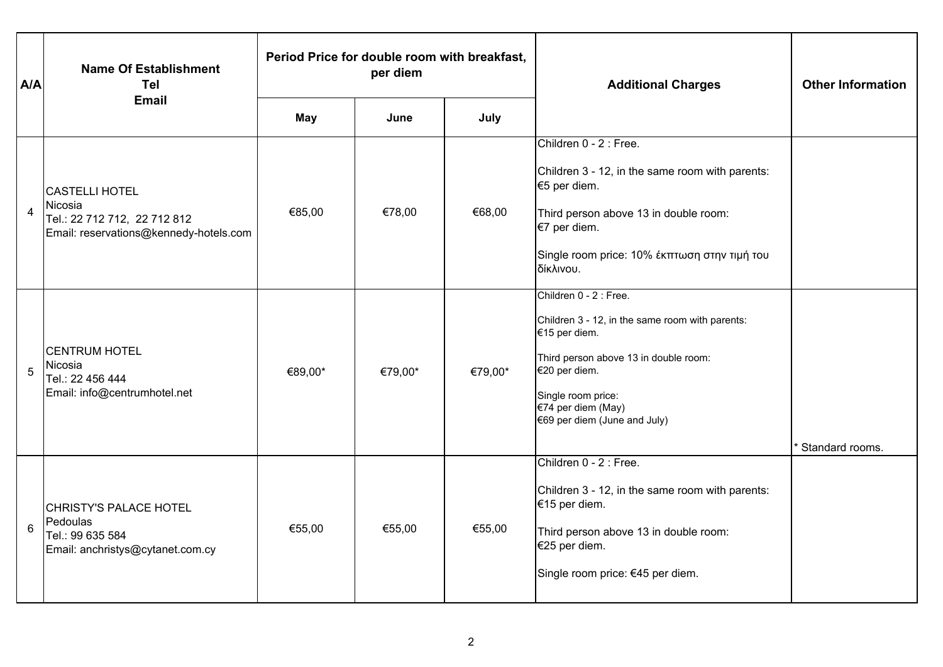| A/A            | <b>Name Of Establishment</b><br><b>Tel</b>                                                                 | Period Price for double room with breakfast,<br>per diem |         |         | <b>Additional Charges</b>                                                                                                                                                                                                        | <b>Other Information</b> |
|----------------|------------------------------------------------------------------------------------------------------------|----------------------------------------------------------|---------|---------|----------------------------------------------------------------------------------------------------------------------------------------------------------------------------------------------------------------------------------|--------------------------|
|                | <b>Email</b>                                                                                               | May                                                      | June    | July    |                                                                                                                                                                                                                                  |                          |
| $\overline{4}$ | <b>CASTELLI HOTEL</b><br>Nicosia<br>Tel.: 22 712 712, 22 712 812<br>Email: reservations@kennedy-hotels.com | €85,00                                                   | €78,00  | €68,00  | Children 0 - 2 : Free.<br>Children 3 - 12, in the same room with parents:<br>€5 per diem.<br>Third person above 13 in double room:<br>€7 per diem.<br>Single room price: 10% έκπτωση στην τιμή του<br>δίκλινου.                  |                          |
| 5              | <b>CENTRUM HOTEL</b><br>Nicosia<br>Tel.: 22 456 444<br>Email: info@centrumhotel.net                        | €89,00*                                                  | €79,00* | €79,00* | Children 0 - 2 : Free.<br>Children 3 - 12, in the same room with parents:<br>€15 per diem.<br>Third person above 13 in double room:<br>€20 per diem.<br>Single room price:<br>€74 per diem (May)<br>€69 per diem (June and July) | <b>Standard rooms.</b>   |
| 6              | <b>CHRISTY'S PALACE HOTEL</b><br>Pedoulas<br>Tel.: 99 635 584<br>Email: anchristys@cytanet.com.cy          | €55,00                                                   | €55,00  | €55,00  | Children 0 - 2 : Free.<br>Children 3 - 12, in the same room with parents:<br>€15 per diem.<br>Third person above 13 in double room:<br>€25 per diem.<br>Single room price: €45 per diem.                                         |                          |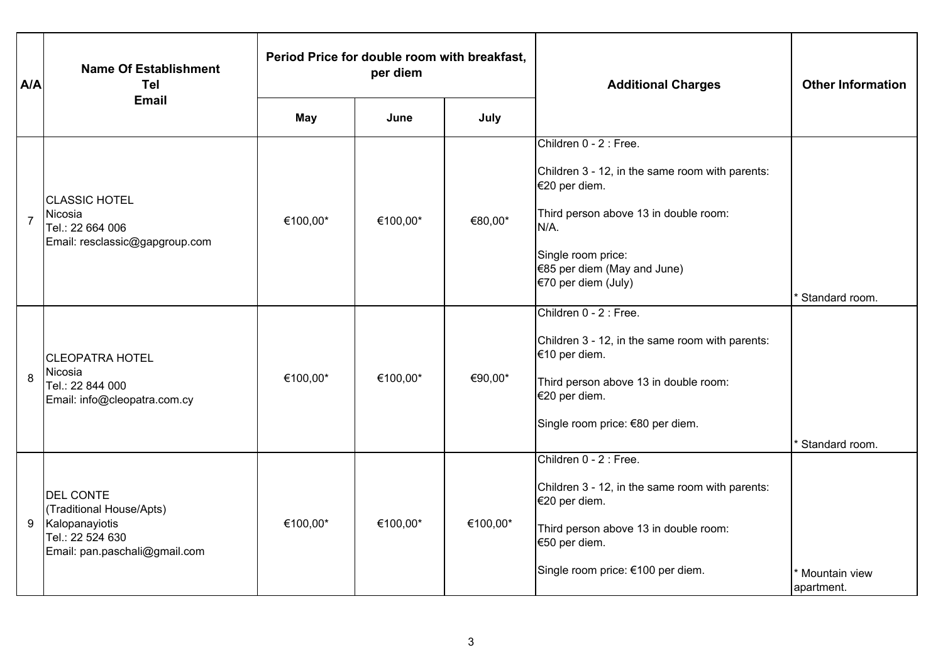| A/A            | <b>Name Of Establishment</b><br><b>Tel</b>                                                                          | Period Price for double room with breakfast,<br>per diem |          |          | <b>Additional Charges</b>                                                                                                                                                                                                  | <b>Other Information</b>    |
|----------------|---------------------------------------------------------------------------------------------------------------------|----------------------------------------------------------|----------|----------|----------------------------------------------------------------------------------------------------------------------------------------------------------------------------------------------------------------------------|-----------------------------|
|                | <b>Email</b>                                                                                                        | May                                                      | June     | July     |                                                                                                                                                                                                                            |                             |
| $\overline{7}$ | <b>CLASSIC HOTEL</b><br>Nicosia<br>Tel.: 22 664 006<br>Email: resclassic@gapgroup.com                               | €100,00*                                                 | €100,00* | €80,00*  | Children 0 - 2 : Free.<br>Children 3 - 12, in the same room with parents:<br>€20 per diem.<br>Third person above 13 in double room:<br>$N/A$ .<br>Single room price:<br>€85 per diem (May and June)<br>€70 per diem (July) | Standard room.              |
| 8              | <b>CLEOPATRA HOTEL</b><br>Nicosia<br>Tel.: 22 844 000<br>Email: info@cleopatra.com.cy                               | €100,00*                                                 | €100,00* | €90,00*  | Children 0 - 2 : Free.<br>Children 3 - 12, in the same room with parents:<br>€10 per diem.<br>Third person above 13 in double room:<br>€20 per diem.<br>Single room price: €80 per diem.                                   | Standard room.              |
| 9              | <b>DEL CONTE</b><br>(Traditional House/Apts)<br>Kalopanayiotis<br>Tel.: 22 524 630<br>Email: pan.paschali@gmail.com | €100,00*                                                 | €100,00* | €100,00* | Children 0 - 2 : Free.<br>Children 3 - 12, in the same room with parents:<br>€20 per diem.<br>Third person above 13 in double room:<br>€50 per diem.<br>Single room price: €100 per diem.                                  | Mountain view<br>apartment. |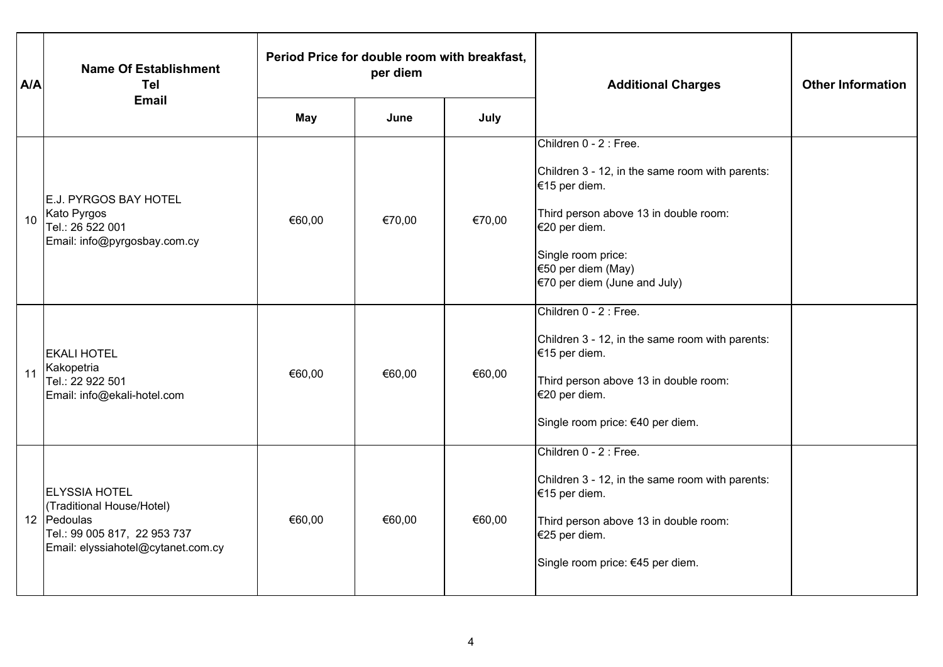| A/A | <b>Name Of Establishment</b><br>Tel                                                                                                    | Period Price for double room with breakfast,<br>per diem |        |        | <b>Additional Charges</b>                                                                                                                                                                                                          | <b>Other Information</b> |
|-----|----------------------------------------------------------------------------------------------------------------------------------------|----------------------------------------------------------|--------|--------|------------------------------------------------------------------------------------------------------------------------------------------------------------------------------------------------------------------------------------|--------------------------|
|     | <b>Email</b>                                                                                                                           | <b>May</b>                                               | June   | July   |                                                                                                                                                                                                                                    |                          |
| 10  | <b>E.J. PYRGOS BAY HOTEL</b><br>Kato Pyrgos<br>Tel.: 26 522 001<br>Email: info@pyrgosbay.com.cy                                        | €60,00                                                   | €70,00 | €70,00 | Children 0 - 2 : Free.<br>Children 3 - 12, in the same room with parents:<br>€15 per diem.<br>Third person above 13 in double room:<br>€20 per diem.<br>Single room price:<br>€50 per diem (May)<br>$€70$ per diem (June and July) |                          |
| 11  | <b>EKALI HOTEL</b><br>Kakopetria<br>Tel.: 22 922 501<br>Email: info@ekali-hotel.com                                                    | €60,00                                                   | €60,00 | €60,00 | Children 0 - 2 : Free.<br>Children 3 - 12, in the same room with parents:<br>€15 per diem.<br>Third person above 13 in double room:<br>€20 per diem.<br>Single room price: €40 per diem.                                           |                          |
|     | <b>ELYSSIA HOTEL</b><br>(Traditional House/Hotel)<br>12 Pedoulas<br>Tel.: 99 005 817, 22 953 737<br>Email: elyssiahotel@cytanet.com.cy | €60,00                                                   | €60,00 | €60,00 | Children 0 - 2 : Free.<br>Children 3 - 12, in the same room with parents:<br>€15 per diem.<br>Third person above 13 in double room:<br>€25 per diem.<br>Single room price: €45 per diem.                                           |                          |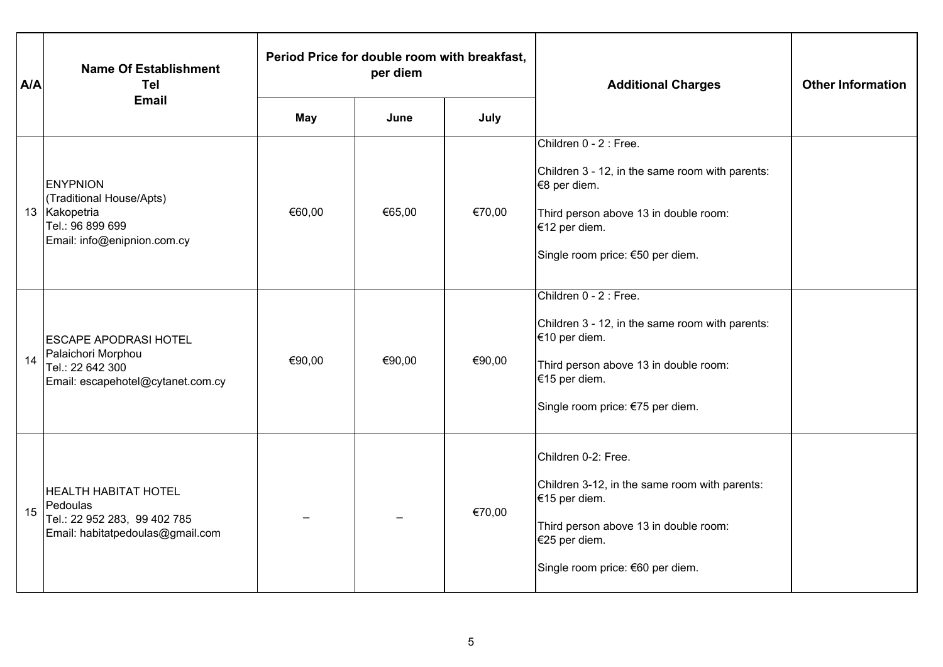| A/A | <b>Name Of Establishment</b><br><b>Tel</b>                                                                      | Period Price for double room with breakfast,<br>per diem |        |        | <b>Additional Charges</b>                                                                                                                                                                | <b>Other Information</b> |
|-----|-----------------------------------------------------------------------------------------------------------------|----------------------------------------------------------|--------|--------|------------------------------------------------------------------------------------------------------------------------------------------------------------------------------------------|--------------------------|
|     | <b>Email</b>                                                                                                    | May                                                      | June   | July   |                                                                                                                                                                                          |                          |
|     | <b>ENYPNION</b><br>(Traditional House/Apts)<br>13 Kakopetria<br>Tel.: 96 899 699<br>Email: info@enipnion.com.cy | €60,00                                                   | €65,00 | €70,00 | Children 0 - 2 : Free.<br>Children 3 - 12, in the same room with parents:<br>€8 per diem.<br>Third person above 13 in double room:<br>€12 per diem.<br>Single room price: €50 per diem.  |                          |
| 14  | <b>ESCAPE APODRASI HOTEL</b><br>Palaichori Morphou<br>Tel.: 22 642 300<br>Email: escapehotel@cytanet.com.cy     | €90,00                                                   | €90,00 | €90,00 | Children 0 - 2 : Free.<br>Children 3 - 12, in the same room with parents:<br>€10 per diem.<br>Third person above 13 in double room:<br>€15 per diem.<br>Single room price: €75 per diem. |                          |
| 15  | <b>HEALTH HABITAT HOTEL</b><br>Pedoulas<br>Tel.: 22 952 283, 99 402 785<br>Email: habitatpedoulas@gmail.com     |                                                          |        | €70,00 | Children 0-2: Free.<br>Children 3-12, in the same room with parents:<br>€15 per diem.<br>Third person above 13 in double room:<br>€25 per diem.<br>Single room price: €60 per diem.      |                          |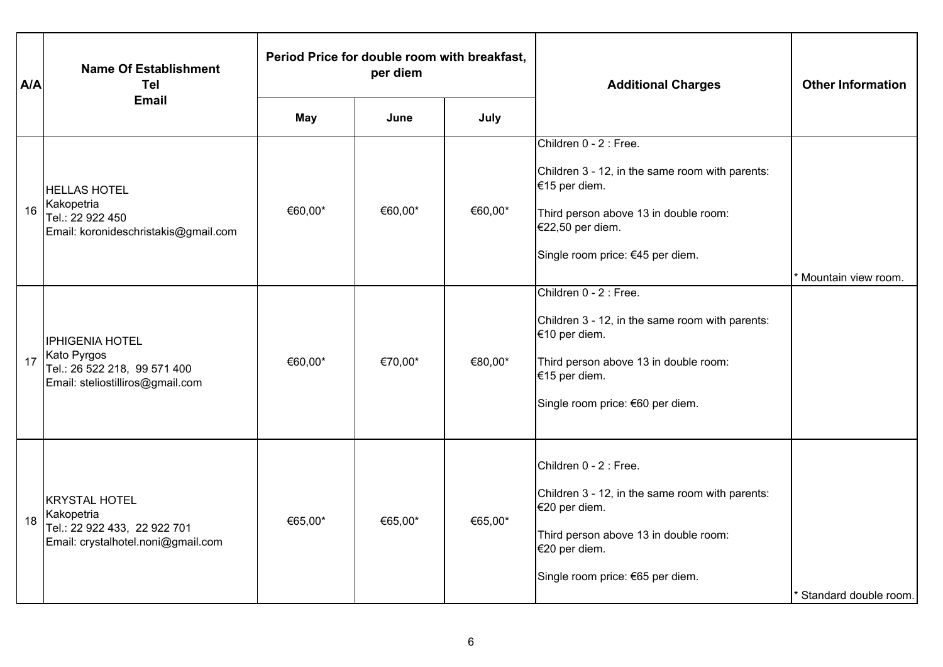| A/A | <b>Name Of Establishment</b><br><b>Tel</b>                                                                | Period Price for double room with breakfast,<br>per diem |         |         | <b>Additional Charges</b>                                                                                                                                                                   | <b>Other Information</b> |
|-----|-----------------------------------------------------------------------------------------------------------|----------------------------------------------------------|---------|---------|---------------------------------------------------------------------------------------------------------------------------------------------------------------------------------------------|--------------------------|
|     | <b>Email</b>                                                                                              | <b>May</b>                                               | June    | July    |                                                                                                                                                                                             |                          |
| 16  | <b>HELLAS HOTEL</b><br>Kakopetria<br>Tel.: 22 922 450<br>Email: koronideschristakis@gmail.com             | €60,00*                                                  | €60,00* | €60,00* | Children 0 - 2 : Free.<br>Children 3 - 12, in the same room with parents:<br>€15 per diem.<br>Third person above 13 in double room:<br>€22,50 per diem.<br>Single room price: €45 per diem. | Mountain view room.      |
| 17  | <b>IPHIGENIA HOTEL</b><br>Kato Pyrgos<br>Tel.: 26 522 218, 99 571 400<br>Email: steliostilliros@gmail.com | €60,00*                                                  | €70,00* | €80,00* | Children 0 - 2 : Free.<br>Children 3 - 12, in the same room with parents:<br>€10 per diem.<br>Third person above 13 in double room:<br>€15 per diem.<br>Single room price: €60 per diem.    |                          |
| 18  | <b>KRYSTAL HOTEL</b><br>Kakopetria<br>Tel.: 22 922 433, 22 922 701<br>Email: crystalhotel.noni@gmail.com  | €65,00*                                                  | €65,00* | €65,00* | Children 0 - 2 : Free.<br>Children 3 - 12, in the same room with parents:<br>€20 per diem.<br>Third person above 13 in double room:<br>€20 per diem.<br>Single room price: €65 per diem.    | Standard double room.    |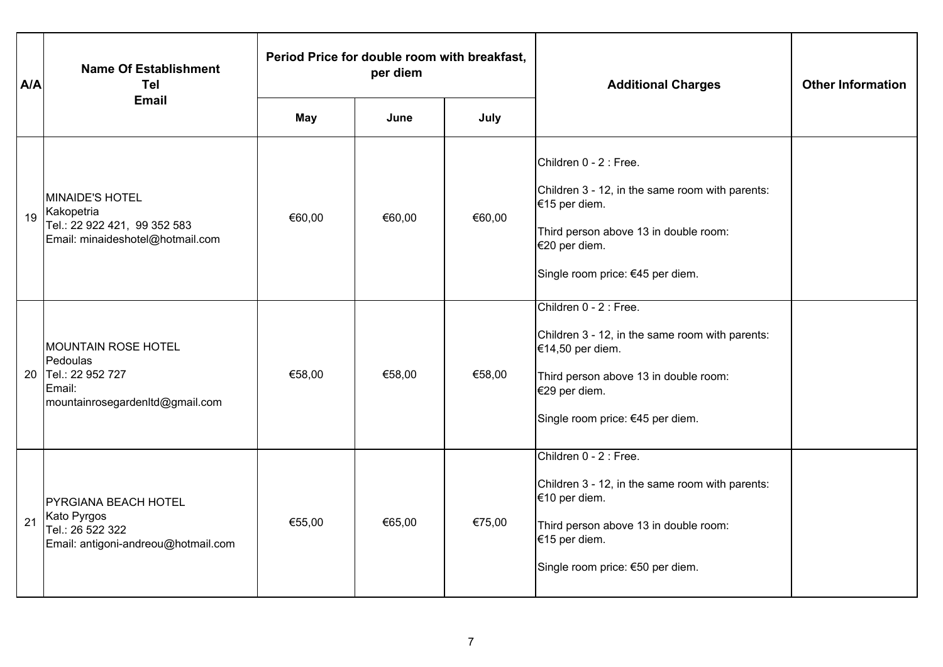| A/A | <b>Name Of Establishment</b><br><b>Tel</b>                                                              | Period Price for double room with breakfast,<br>per diem |        |        | <b>Additional Charges</b>                                                                                                                                                                   | <b>Other Information</b> |
|-----|---------------------------------------------------------------------------------------------------------|----------------------------------------------------------|--------|--------|---------------------------------------------------------------------------------------------------------------------------------------------------------------------------------------------|--------------------------|
|     | <b>Email</b>                                                                                            | May                                                      | June   | July   |                                                                                                                                                                                             |                          |
| 19  | MINAIDE'S HOTEL<br>Kakopetria<br>Tel.: 22 922 421, 99 352 583<br>Email: minaideshotel@hotmail.com       | €60,00                                                   | €60,00 | €60,00 | Children 0 - 2 : Free.<br>Children 3 - 12, in the same room with parents:<br>€15 per diem.<br>Third person above 13 in double room:<br>€20 per diem.<br>Single room price: €45 per diem.    |                          |
| 20  | <b>MOUNTAIN ROSE HOTEL</b><br>Pedoulas<br>Tel.: 22 952 727<br>Email:<br>mountainrosegardenItd@gmail.com | €58,00                                                   | €58,00 | €58,00 | Children 0 - 2 : Free.<br>Children 3 - 12, in the same room with parents:<br>€14,50 per diem.<br>Third person above 13 in double room:<br>€29 per diem.<br>Single room price: €45 per diem. |                          |
| 21  | <b>PYRGIANA BEACH HOTEL</b><br>Kato Pyrgos<br>Tel.: 26 522 322<br>Email: antigoni-andreou@hotmail.com   | €55,00                                                   | €65,00 | €75,00 | Children 0 - 2 : Free.<br>Children 3 - 12, in the same room with parents:<br>€10 per diem.<br>Third person above 13 in double room:<br>€15 per diem.<br>Single room price: €50 per diem.    |                          |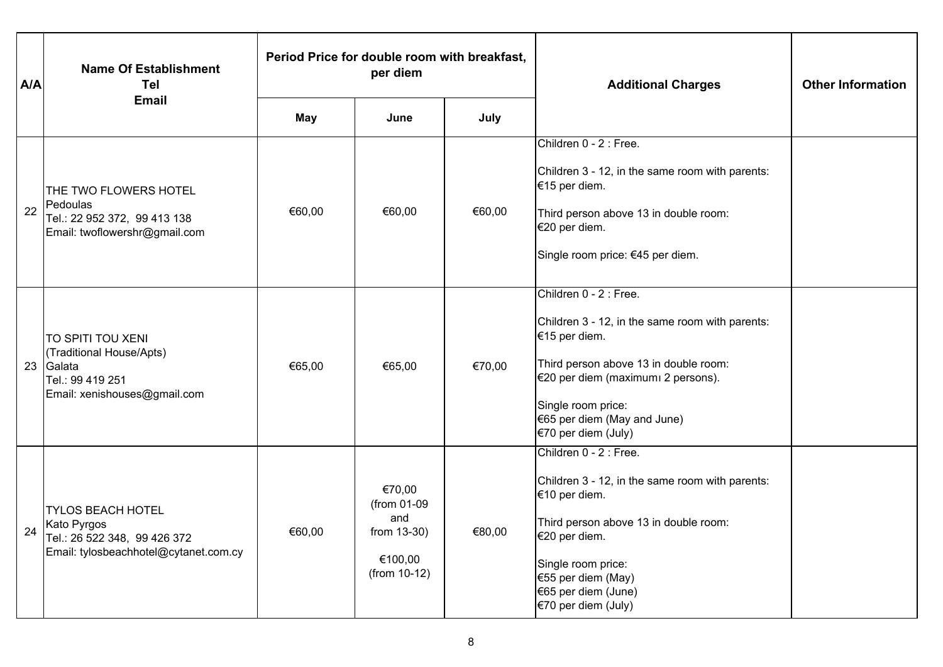| A/A | <b>Name Of Establishment</b><br><b>Tel</b>                                                                          | Period Price for double room with breakfast,<br>per diem |                                                                        |        | <b>Additional Charges</b>                                                                                                                                                                                                                             | <b>Other Information</b> |
|-----|---------------------------------------------------------------------------------------------------------------------|----------------------------------------------------------|------------------------------------------------------------------------|--------|-------------------------------------------------------------------------------------------------------------------------------------------------------------------------------------------------------------------------------------------------------|--------------------------|
|     | <b>Email</b>                                                                                                        | May                                                      | June                                                                   | July   |                                                                                                                                                                                                                                                       |                          |
| 22  | THE TWO FLOWERS HOTEL<br>Pedoulas<br>Tel.: 22 952 372, 99 413 138<br>Email: twoflowershr@gmail.com                  | €60,00                                                   | €60,00                                                                 | €60,00 | Children 0 - 2 : Free.<br>Children 3 - 12, in the same room with parents:<br>€15 per diem.<br>Third person above 13 in double room:<br>€20 per diem.<br>Single room price: €45 per diem.                                                              |                          |
|     | TO SPITI TOU XENI<br>(Traditional House/Apts)<br>23 Galata<br>Tel.: 99 419 251<br>Email: xenishouses@gmail.com      | €65,00                                                   | €65,00                                                                 | €70,00 | Children 0 - 2 : Free.<br>Children 3 - 12, in the same room with parents:<br>€15 per diem.<br>Third person above 13 in double room:<br>€20 per diem (maximumı 2 persons).<br>Single room price:<br>€65 per diem (May and June)<br>€70 per diem (July) |                          |
|     | <b>TYLOS BEACH HOTEL</b><br>24 Kato Pyrgos<br>Tel.: 26 522 348, 99 426 372<br>Email: tylosbeachhotel@cytanet.com.cy | €60,00                                                   | €70,00<br>(from 01-09<br>and<br>from 13-30)<br>€100,00<br>(from 10-12) | €80,00 | Children 0 - 2 : Free.<br>Children 3 - 12, in the same room with parents:<br>€10 per diem.<br>Third person above 13 in double room:<br>€20 per diem.<br>Single room price:<br>€55 per diem (May)<br>€65 per diem (June)<br>€70 per diem (July)        |                          |